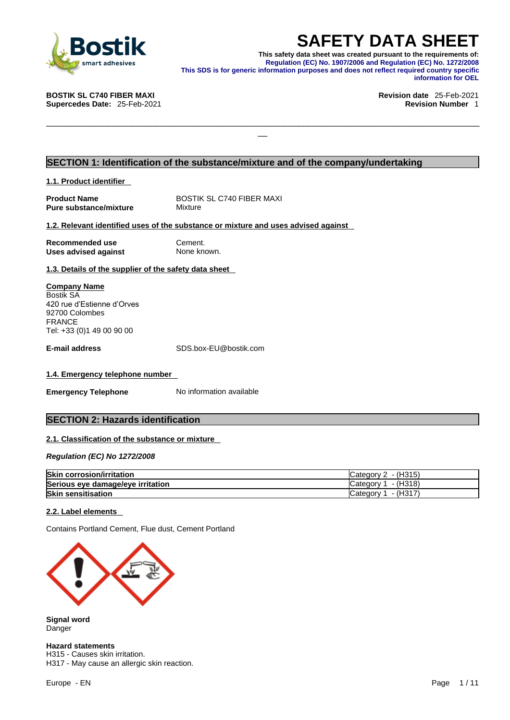

**SAFETY DATA SHEET**<br>This safety data sheet was created pursuant to the requirements of:<br>Regulation (EC) No. 1907/2006 and Regulation (EC) No. 1272/2008<br>information purposes and does not reflect required country specific<br>in **This safety data sheet was created pursuant to the requirements of: Regulation (EC) No. 1907/2006 and Regulation (EC) No. 1272/2008 This SDS is for generic information purposes and does not reflect required country specific information for OEL** 

\_\_\_\_\_\_\_\_\_\_\_\_\_\_\_\_\_\_\_\_\_\_\_\_\_\_\_\_\_\_\_\_\_\_\_\_\_\_\_\_\_\_\_\_\_\_\_\_\_\_\_\_\_\_\_\_\_\_\_\_\_\_\_\_\_\_\_\_\_\_\_\_\_\_\_\_\_\_\_\_\_\_\_\_\_\_\_\_\_\_\_

**Supercedes Date: 25-Feb-2021** 

**BOSTIK SL C740 FIBER MAXI Revision date** 25-Feb-2021

# **SECTION 1: Identification of the substance/mixture and of the company/undertaking**

**1.1. Product identifier** 

| <b>Product Name</b>    |
|------------------------|
| Pure substance/mixture |

**BOSTIK SL C740 FIBER MAXI Mixture** 

### **1.2. Relevant identified uses of the substance or mixture and uses advised against**

| <b>Recommended use</b>      |  |
|-----------------------------|--|
| <b>Uses advised against</b> |  |

**Cement. None known.** 

**1.3. Details of the supplier of the safety data sheet**

**Company Name** Bostik SA 420 rue d'Estienne d'Orves 92700 Colombes FRANCE Tel: +33 (0)1 49 00 90 00

**E-mail address** SDS.box-EU@bostik.com

### **1.4. Emergency telephone number**

**Emergency Telephone** No information available

# **SECTION 2: Hazards identification**

### **2.1. Classification of the substance or mixture**

*Regulation (EC) No 1272/2008* 

| <b>Skin corrosion/irritation</b>  | - (H315)<br>Category 2   |
|-----------------------------------|--------------------------|
| Serious eye damage/eye irritation | - (H318)<br>n catedory ″ |
| <b>Skin sensitisation</b>         | - (H317)<br>1 Categoryٽ, |

### **2.2. Label elements**

Contains Portland Cement, Flue dust, Cement Portland



**Signal word** Danger

**Hazard statements** H315 - Causes skin irritation. H317 - May cause an allergic skin reaction.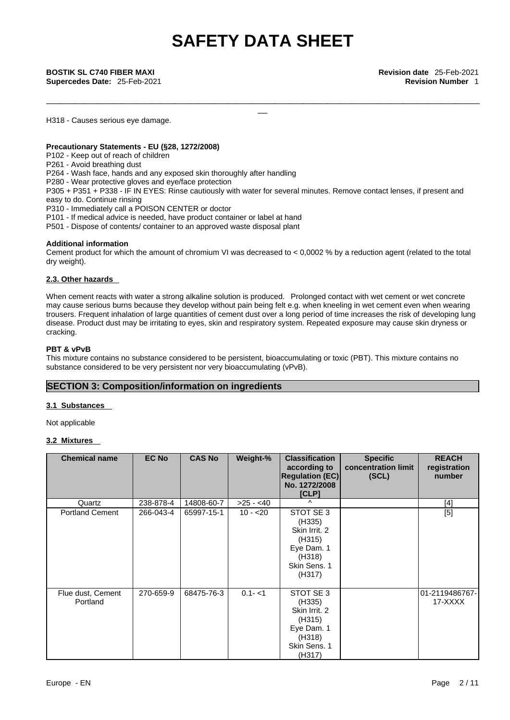\_\_\_\_\_\_\_\_\_\_\_\_\_\_\_\_\_\_\_\_\_\_\_\_\_\_\_\_\_\_\_\_\_\_\_\_\_\_\_\_\_\_\_\_\_\_\_\_\_\_\_\_\_\_\_\_\_\_\_\_\_\_\_\_\_\_\_\_\_\_\_\_\_\_\_\_\_\_\_\_\_\_\_\_\_\_\_\_\_\_\_

H318 - Causes serious eye damage.

# **Precautionary Statements - EU (§28, 1272/2008)**

P102 - Keep out of reach of children

P261 - Avoid breathing dust

P264 - Wash face, hands and any exposed skin thoroughly after handling

P280 - Wear protective gloves and eye/face protection

P305 + P351 + P338 - IF IN EYES: Rinse cautiously with water for several minutes. Remove contact lenses, if present and easy to do. Continue rinsing

P310 - Immediately call a POISON CENTER or doctor

P101 - If medical advice is needed, have product container or label at hand

P501 - Dispose of contents/ container to an approved waste disposal plant

### **Additional information**

Cement product for which the amount of chromium VI was decreased to  $< 0.0002$  % by a reduction agent (related to the total dry weight).

# **2.3. Other hazards**

When cement reacts with water a strong alkaline solution is produced. Prolonged contact with wet cement or wet concrete may cause serious burns because they develop without pain being felt e.g. when kneeling in wet cement even when wearing trousers. Frequent inhalation of large quantities of cement dust over a long period of time increases the risk of developing lung disease. Product dust may be irritating to eyes, skin and respiratory system. Repeated exposure may cause skin dryness or cracking.

# **PBT & vPvB**

This mixture contains no substance considered to be persistent, bioaccumulating or toxic (PBT). This mixture contains no substance considered to be very persistent nor very bioaccumulating (vPvB).

# **SECTION 3: Composition/information on ingredients**

# **3.1 Substances**

Not applicable

# **3.2 Mixtures**

| <b>Chemical name</b>          | <b>EC No</b> | <b>CAS No</b> | Weight-%   | <b>Classification</b><br>according to<br><b>Regulation (EC)</b><br>No. 1272/2008<br>[CLP]        | <b>Specific</b><br>concentration limit<br>(SCL) | <b>REACH</b><br>registration<br>number |
|-------------------------------|--------------|---------------|------------|--------------------------------------------------------------------------------------------------|-------------------------------------------------|----------------------------------------|
| Quartz                        | 238-878-4    | 14808-60-7    | $>25 - 40$ | $\wedge$                                                                                         |                                                 | $[4]$                                  |
| <b>Portland Cement</b>        | 266-043-4    | 65997-15-1    | $10 - 20$  | STOT SE 3<br>(H335)<br>Skin Irrit, 2<br>(H315)<br>Eye Dam. 1<br>(H318)<br>Skin Sens. 1<br>(H317) |                                                 | [5]                                    |
| Flue dust, Cement<br>Portland | 270-659-9    | 68475-76-3    | $0.1 - 1$  | STOT SE 3<br>(H335)<br>Skin Irrit. 2<br>(H315)<br>Eye Dam. 1<br>(H318)<br>Skin Sens. 1<br>(H317) |                                                 | 01-2119486767-<br>17-XXXX              |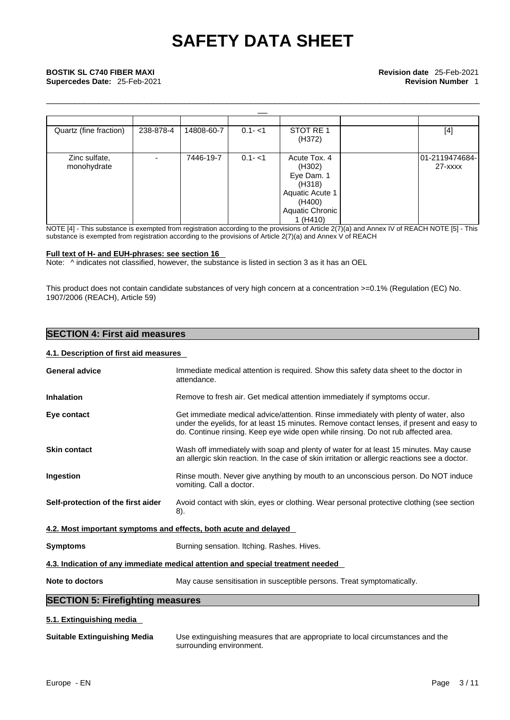\_\_\_\_\_\_\_\_\_\_\_\_\_\_\_\_\_\_\_\_\_\_\_\_\_\_\_\_\_\_\_\_\_\_\_\_\_\_\_\_\_\_\_\_\_\_\_\_\_\_\_\_\_\_\_\_\_\_\_\_\_\_\_\_\_\_\_\_\_\_\_\_\_\_\_\_\_\_\_\_\_\_\_\_\_\_\_\_\_\_\_

| Quartz (fine fraction)       | 238-878-4 | 14808-60-7 | $0.1 - 1$ | STOT RE 1<br>(H372)                                               | $[4]$                     |
|------------------------------|-----------|------------|-----------|-------------------------------------------------------------------|---------------------------|
| Zinc sulfate,<br>monohydrate |           | 7446-19-7  | $0.1 - 1$ | Acute Tox. 4<br>(H302)<br>Eye Dam. 1<br>(H318)<br>Aquatic Acute 1 | 01-2119474684-<br>27-xxxx |
|                              |           |            |           | (H400)<br>Aquatic Chronic<br>1(H410)                              |                           |

NOTE [4] - This substance is exempted from registration according to the provisions of Article 2(7)(a) and Annex IV of REACH NOTE [5] - This substance is exempted from registration according to the provisions of Article 2(7)(a) and Annex V of REACH

#### **Full text of H- and EUH-phrases: see section 16**

Note: ^ indicates not classified, however, the substance is listed in section 3 as it has an OEL

This product does not contain candidate substances of very high concern at a concentration >=0.1% (Regulation (EC) No. 1907/2006 (REACH), Article 59)

# **SECTION 4: First aid measures**

## **4.1. Description of first aid measures**

| <b>General advice</b>                   | Immediate medical attention is required. Show this safety data sheet to the doctor in<br>attendance.                                                                                                                                                                   |
|-----------------------------------------|------------------------------------------------------------------------------------------------------------------------------------------------------------------------------------------------------------------------------------------------------------------------|
| <b>Inhalation</b>                       | Remove to fresh air. Get medical attention immediately if symptoms occur.                                                                                                                                                                                              |
| Eye contact                             | Get immediate medical advice/attention. Rinse immediately with plenty of water, also<br>under the eyelids, for at least 15 minutes. Remove contact lenses, if present and easy to<br>do. Continue rinsing. Keep eye wide open while rinsing. Do not rub affected area. |
| <b>Skin contact</b>                     | Wash off immediately with soap and plenty of water for at least 15 minutes. May cause<br>an allergic skin reaction. In the case of skin irritation or allergic reactions see a doctor.                                                                                 |
| <b>Ingestion</b>                        | Rinse mouth. Never give anything by mouth to an unconscious person. Do NOT induce<br>vomiting. Call a doctor.                                                                                                                                                          |
| Self-protection of the first aider      | Avoid contact with skin, eyes or clothing. Wear personal protective clothing (see section<br>8).                                                                                                                                                                       |
|                                         | 4.2. Most important symptoms and effects, both acute and delayed                                                                                                                                                                                                       |
| <b>Symptoms</b>                         | Burning sensation. Itching. Rashes. Hives.                                                                                                                                                                                                                             |
|                                         | 4.3. Indication of any immediate medical attention and special treatment needed                                                                                                                                                                                        |
| Note to doctors                         | May cause sensitisation in susceptible persons. Treat symptomatically.                                                                                                                                                                                                 |
| <b>SECTION 5: Firefighting measures</b> |                                                                                                                                                                                                                                                                        |
| 5.1. Extinguishing media                |                                                                                                                                                                                                                                                                        |
| <b>Suitable Extinguishing Media</b>     | Use extinguishing measures that are appropriate to local circumstances and the<br>surrounding environment.                                                                                                                                                             |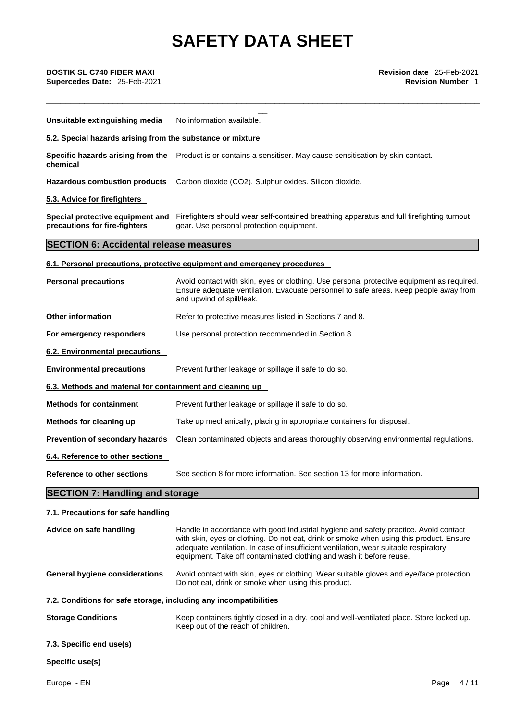| BOSTIK SL C740 FIBER MAXI<br>Supercedes Date: 25-Feb-2021         | Revision date 25-Feb-2021<br><b>Revision Number 1</b>                                                                                                                                                                                                                                                                                          |
|-------------------------------------------------------------------|------------------------------------------------------------------------------------------------------------------------------------------------------------------------------------------------------------------------------------------------------------------------------------------------------------------------------------------------|
| Unsuitable extinguishing media                                    | No information available.                                                                                                                                                                                                                                                                                                                      |
| 5.2. Special hazards arising from the substance or mixture        |                                                                                                                                                                                                                                                                                                                                                |
| chemical                                                          | Specific hazards arising from the Product is or contains a sensitiser. May cause sensitisation by skin contact.                                                                                                                                                                                                                                |
| <b>Hazardous combustion products</b>                              | Carbon dioxide (CO2). Sulphur oxides. Silicon dioxide.                                                                                                                                                                                                                                                                                         |
| 5.3. Advice for firefighters                                      |                                                                                                                                                                                                                                                                                                                                                |
| precautions for fire-fighters                                     | Special protective equipment and Firefighters should wear self-contained breathing apparatus and full firefighting turnout<br>gear. Use personal protection equipment.                                                                                                                                                                         |
| <b>SECTION 6: Accidental release measures</b>                     |                                                                                                                                                                                                                                                                                                                                                |
|                                                                   | 6.1. Personal precautions, protective equipment and emergency procedures                                                                                                                                                                                                                                                                       |
| <b>Personal precautions</b>                                       | Avoid contact with skin, eyes or clothing. Use personal protective equipment as required.<br>Ensure adequate ventilation. Evacuate personnel to safe areas. Keep people away from<br>and upwind of spill/leak.                                                                                                                                 |
| <b>Other information</b>                                          | Refer to protective measures listed in Sections 7 and 8.                                                                                                                                                                                                                                                                                       |
| For emergency responders                                          | Use personal protection recommended in Section 8.                                                                                                                                                                                                                                                                                              |
| 6.2. Environmental precautions                                    |                                                                                                                                                                                                                                                                                                                                                |
| <b>Environmental precautions</b>                                  | Prevent further leakage or spillage if safe to do so.                                                                                                                                                                                                                                                                                          |
| 6.3. Methods and material for containment and cleaning up         |                                                                                                                                                                                                                                                                                                                                                |
| <b>Methods for containment</b>                                    | Prevent further leakage or spillage if safe to do so.                                                                                                                                                                                                                                                                                          |
| Methods for cleaning up                                           | Take up mechanically, placing in appropriate containers for disposal.                                                                                                                                                                                                                                                                          |
| Prevention of secondary hazards                                   | Clean contaminated objects and areas thoroughly observing environmental regulations.                                                                                                                                                                                                                                                           |
| 6.4. Reference to other sections                                  |                                                                                                                                                                                                                                                                                                                                                |
| <b>Reference to other sections</b>                                | See section 8 for more information. See section 13 for more information.                                                                                                                                                                                                                                                                       |
| <b>SECTION 7: Handling and storage</b>                            |                                                                                                                                                                                                                                                                                                                                                |
| 7.1. Precautions for safe handling                                |                                                                                                                                                                                                                                                                                                                                                |
| Advice on safe handling                                           | Handle in accordance with good industrial hygiene and safety practice. Avoid contact<br>with skin, eyes or clothing. Do not eat, drink or smoke when using this product. Ensure<br>adequate ventilation. In case of insufficient ventilation, wear suitable respiratory<br>equipment. Take off contaminated clothing and wash it before reuse. |
| <b>General hygiene considerations</b>                             | Avoid contact with skin, eyes or clothing. Wear suitable gloves and eye/face protection.<br>Do not eat, drink or smoke when using this product.                                                                                                                                                                                                |
| 7.2. Conditions for safe storage, including any incompatibilities |                                                                                                                                                                                                                                                                                                                                                |
| <b>Storage Conditions</b>                                         | Keep containers tightly closed in a dry, cool and well-ventilated place. Store locked up.<br>Keep out of the reach of children.                                                                                                                                                                                                                |
| 7.3. Specific end use(s)                                          |                                                                                                                                                                                                                                                                                                                                                |
| Specific use(s)                                                   |                                                                                                                                                                                                                                                                                                                                                |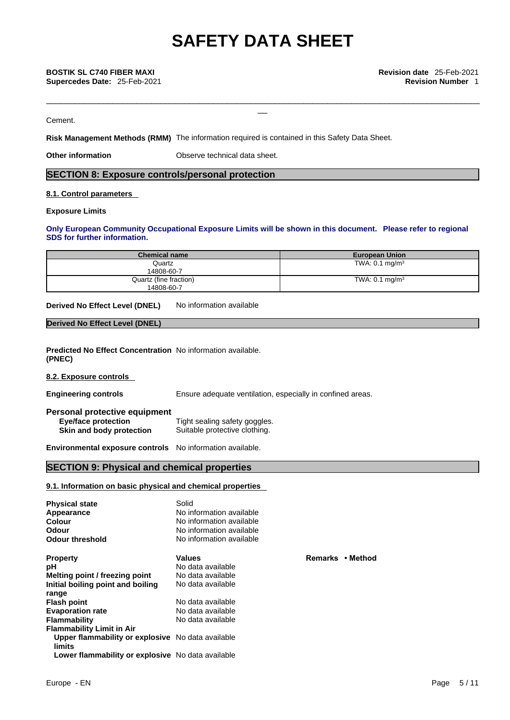\_\_\_\_\_\_\_\_\_\_\_\_\_\_\_\_\_\_\_\_\_\_\_\_\_\_\_\_\_\_\_\_\_\_\_\_\_\_\_\_\_\_\_\_\_\_\_\_\_\_\_\_\_\_\_\_\_\_\_\_\_\_\_\_\_\_\_\_\_\_\_\_\_\_\_\_\_\_\_\_\_\_\_\_\_\_\_\_\_\_\_

### Cement.

**Risk Management Methods (RMM)** The information required is contained in this Safety Data Sheet.

**Other information Observe technical data sheet.** 

# **SECTION 8: Exposure controls/personal protection**

### **8.1. Control parameters**

# **Exposure Limits**

## **Only European Community Occupational Exposure Limits will be shown in this document. Please refer to regional SDS for further information.**

| <b>Chemical name</b>   | <b>European Union</b>     |
|------------------------|---------------------------|
| Quartz                 | TWA: $0.1 \text{ mg/m}^3$ |
| 14808-60-7             |                           |
| Quartz (fine fraction) | TWA: $0.1 \text{ mg/m}^3$ |
| 14808-60-7             |                           |

**Derived No Effect Level (DNEL)** No information available

#### **Derived No Effect Level (DNEL)**

**Predicted No Effect Concentration** No information available. **(PNEC)** 

**8.2. Exposure controls** 

**Engineering controls** Ensure adequate ventilation, especially in confined areas.

| Personal protective equipment |                               |
|-------------------------------|-------------------------------|
| Eye/face protection           | Tight sealing safety goggles. |
| Skin and body protection      | Suitable protective clothing. |

**Environmental exposure controls** No information available.

# **SECTION 9: Physical and chemical properties**

# **9.1. Information on basic physical and chemical properties**

| <b>Physical state</b><br>Appearance<br>Colour<br>Odour<br><b>Odour threshold</b> | Solid<br>No information available<br>No information available<br>No information available<br>No information available |                  |
|----------------------------------------------------------------------------------|-----------------------------------------------------------------------------------------------------------------------|------------------|
| <b>Property</b>                                                                  | <b>Values</b>                                                                                                         | Remarks • Method |
| рH                                                                               | No data available                                                                                                     |                  |
| Melting point / freezing point                                                   | No data available                                                                                                     |                  |
| Initial boiling point and boiling                                                | No data available                                                                                                     |                  |
| range                                                                            |                                                                                                                       |                  |
| <b>Flash point</b>                                                               | No data available                                                                                                     |                  |
| <b>Evaporation rate</b>                                                          | No data available                                                                                                     |                  |
| <b>Flammability</b>                                                              | No data available                                                                                                     |                  |
| <b>Flammability Limit in Air</b>                                                 |                                                                                                                       |                  |
| Upper flammability or explosive No data available<br>limits                      |                                                                                                                       |                  |
| Lower flammability or explosive No data available                                |                                                                                                                       |                  |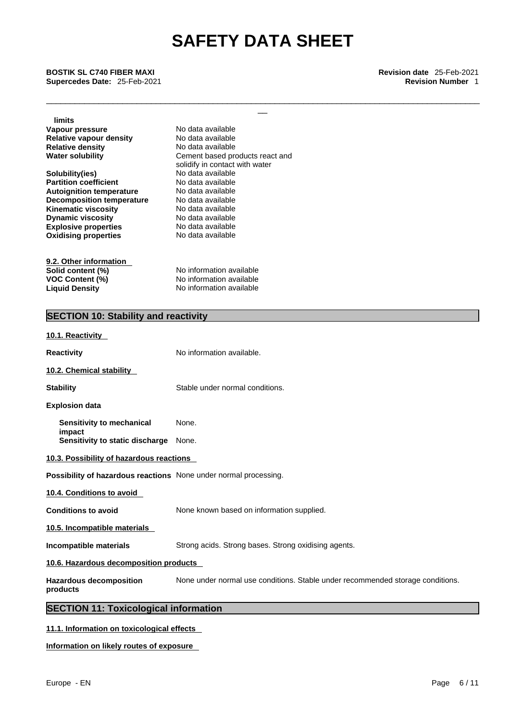\_\_\_\_\_\_\_\_\_\_\_\_\_\_\_\_\_\_\_\_\_\_\_\_\_\_\_\_\_\_\_\_\_\_\_\_\_\_\_\_\_\_\_\_\_\_\_\_\_\_\_\_\_\_\_\_\_\_\_\_\_\_\_\_\_\_\_\_\_\_\_\_\_\_\_\_\_\_\_\_\_\_\_\_\_\_\_\_\_\_\_

\_\_ **BOSTIK SL C740 FIBER MAXI Revision date** 25-Feb-2021 **Supercedes Date:** 25-Feb-2021 **Revision Number** 1

**limits**

**Explosive properties**<br> **Oxidising properties**<br> **No data available Oxidising properties Vapour pressure No data available**<br> **Relative vapour density** No data available **Relative vapour density** No data available<br> **Relative density** No data available **Relative density Water solubility** Cement based products react and **Solubility(ies)** No data available<br> **Partition coefficient** No data available **Partition coefficient**<br> **Autoignition temperature**<br>
No data available **Autoignition temperature** No data available **Decomposition temperature Kinematic viscosity** No data available **Dynamic viscosity** No data available

**9.2. Other information Solid content (%)**<br> **VOC Content (%)**<br> **No information available VOC Content (%)**<br>
Liquid Density<br>
No information available<br>
No information available

solidify in contact with water

**Liquid Density** No information available

# **SECTION 10: Stability and reactivity**

| 10.1. Reactivity                                                 |                                                                                |
|------------------------------------------------------------------|--------------------------------------------------------------------------------|
| <b>Reactivity</b>                                                | No information available.                                                      |
| 10.2. Chemical stability                                         |                                                                                |
| <b>Stability</b>                                                 | Stable under normal conditions.                                                |
| <b>Explosion data</b>                                            |                                                                                |
| Sensitivity to mechanical                                        | None.                                                                          |
| impact<br>Sensitivity to static discharge                        | None.                                                                          |
| 10.3. Possibility of hazardous reactions                         |                                                                                |
| Possibility of hazardous reactions None under normal processing. |                                                                                |
| 10.4. Conditions to avoid                                        |                                                                                |
| <b>Conditions to avoid</b>                                       | None known based on information supplied.                                      |
| 10.5. Incompatible materials                                     |                                                                                |
| <b>Incompatible materials</b>                                    | Strong acids. Strong bases. Strong oxidising agents.                           |
| 10.6. Hazardous decomposition products                           |                                                                                |
| <b>Hazardous decomposition</b><br>products                       | None under normal use conditions. Stable under recommended storage conditions. |
| <b>SECTION 11: Toxicological information</b>                     |                                                                                |
|                                                                  |                                                                                |

# **11.1. Information on toxicological effects**

**Information on likely routes of exposure**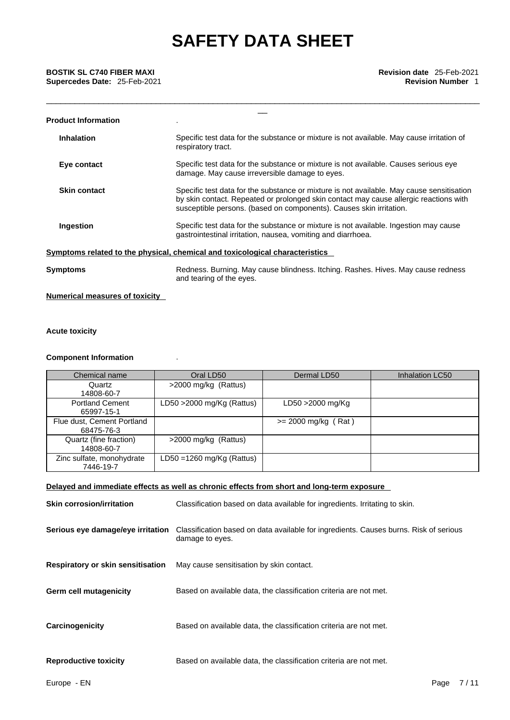| BOSTIK SL C740 FIBER MAXI<br>Supercedes Date: 25-Feb-2021 | <b>Revision date</b> 25-Feb-2021<br><b>Revision Number 1</b>                                                                                                                                                                                              |
|-----------------------------------------------------------|-----------------------------------------------------------------------------------------------------------------------------------------------------------------------------------------------------------------------------------------------------------|
| <b>Product Information</b>                                |                                                                                                                                                                                                                                                           |
| <b>Inhalation</b>                                         | Specific test data for the substance or mixture is not available. May cause irritation of<br>respiratory tract.                                                                                                                                           |
| Eye contact                                               | Specific test data for the substance or mixture is not available. Causes serious eye<br>damage. May cause irreversible damage to eyes.                                                                                                                    |
| <b>Skin contact</b>                                       | Specific test data for the substance or mixture is not available. May cause sensitisation<br>by skin contact. Repeated or prolonged skin contact may cause allergic reactions with<br>susceptible persons. (based on components). Causes skin irritation. |
| Ingestion                                                 | Specific test data for the substance or mixture is not available. Ingestion may cause<br>gastrointestinal irritation, nausea, vomiting and diarrhoea.                                                                                                     |
|                                                           | Symptoms related to the physical, chemical and toxicological characteristics                                                                                                                                                                              |
| Symptoms                                                  | Redness. Burning. May cause blindness. Itching. Rashes. Hives. May cause redness<br>and tearing of the eyes.                                                                                                                                              |

**Numerical measures of toxicity**

# **Acute toxicity**

### **Component Information** .

| Chemical name                            | Oral LD50                    | Dermal LD50           | Inhalation LC50 |
|------------------------------------------|------------------------------|-----------------------|-----------------|
| Quartz<br>14808-60-7                     | >2000 mg/kg (Rattus)         |                       |                 |
| <b>Portland Cement</b><br>65997-15-1     | LD50 $>$ 2000 mg/Kg (Rattus) | LD50 >2000 mg/Kg      |                 |
| Flue dust, Cement Portland<br>68475-76-3 |                              | $>= 2000$ mg/kg (Rat) |                 |
| Quartz (fine fraction)<br>14808-60-7     | >2000 mg/kg (Rattus)         |                       |                 |
| Zinc sulfate, monohydrate<br>7446-19-7   | LD50 = $1260$ mg/Kg (Rattus) |                       |                 |

# **Delayed and immediate effects as well as chronic effects from short and long-term exposure**

| <b>Skin corrosion/irritation</b>         | Classification based on data available for ingredients. Irritating to skin.                              |
|------------------------------------------|----------------------------------------------------------------------------------------------------------|
| Serious eye damage/eye irritation        | Classification based on data available for ingredients. Causes burns. Risk of serious<br>damage to eyes. |
| <b>Respiratory or skin sensitisation</b> | May cause sensitisation by skin contact.                                                                 |
| <b>Germ cell mutagenicity</b>            | Based on available data, the classification criteria are not met.                                        |
| Carcinogenicity                          | Based on available data, the classification criteria are not met.                                        |
| <b>Reproductive toxicity</b>             | Based on available data, the classification criteria are not met.                                        |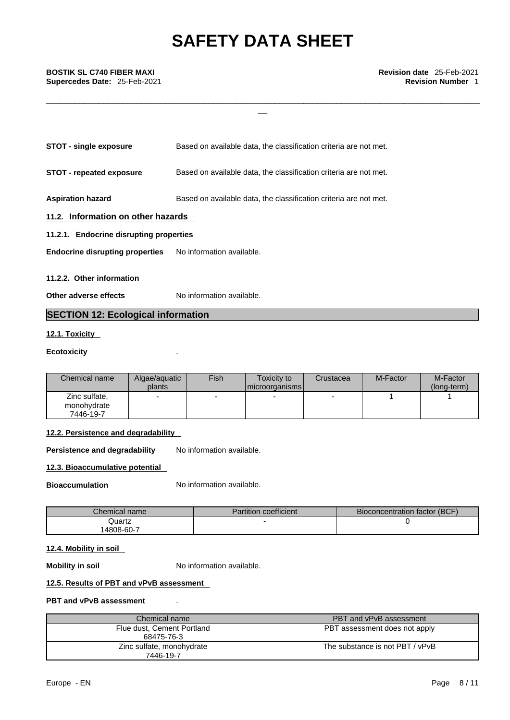\_\_\_\_\_\_\_\_\_\_\_\_\_\_\_\_\_\_\_\_\_\_\_\_\_\_\_\_\_\_\_\_\_\_\_\_\_\_\_\_\_\_\_\_\_\_\_\_\_\_\_\_\_\_\_\_\_\_\_\_\_\_\_\_\_\_\_\_\_\_\_\_\_\_\_\_\_\_\_\_\_\_\_\_\_\_\_\_\_\_\_

| <b>STOT - single exposure</b>           | Based on available data, the classification criteria are not met. |  |  |  |
|-----------------------------------------|-------------------------------------------------------------------|--|--|--|
| <b>STOT - repeated exposure</b>         | Based on available data, the classification criteria are not met. |  |  |  |
| <b>Aspiration hazard</b>                | Based on available data, the classification criteria are not met. |  |  |  |
| 11.2. Information on other hazards      |                                                                   |  |  |  |
| 11.2.1. Endocrine disrupting properties |                                                                   |  |  |  |
| <b>Endocrine disrupting properties</b>  | No information available.                                         |  |  |  |
| 11.2.2. Other information               |                                                                   |  |  |  |

**Other adverse effects** No information available.

# **SECTION 12: Ecological information**

# **12.1. Toxicity**

# **Ecotoxicity** .

| Chemical name                             | Algae/aguatic<br>plants | Fish | Toxicity to<br>  microorganisms | Crustacea                | M-Factor | M-Factor<br>(long-term) |
|-------------------------------------------|-------------------------|------|---------------------------------|--------------------------|----------|-------------------------|
| Zinc sulfate,<br>monohydrate<br>7446-19-7 | -                       | -    | $\overline{\phantom{0}}$        | $\overline{\phantom{0}}$ |          |                         |

# **12.2. Persistence and degradability**

**Persistence and degradability** No information available.

# **12.3. Bioaccumulative potential**

**Bioaccumulation** No information available.

| Chemical name | <b>Partition coefficient</b> | Bioconcentration factor (BCF) |
|---------------|------------------------------|-------------------------------|
| Quartz        |                              |                               |
| 4808-60-7     |                              |                               |

# **12.4. Mobility in soil**

**Mobility in soil** No information available.

# **12.5. Results of PBT and vPvB assessment**

# **PBT and vPvB assessment** .

| Chemical name                            | PBT and vPvB assessment         |
|------------------------------------------|---------------------------------|
| Flue dust, Cement Portland<br>68475-76-3 | PBT assessment does not apply   |
| Zinc sulfate, monohydrate<br>7446-19-7   | The substance is not PBT / vPvB |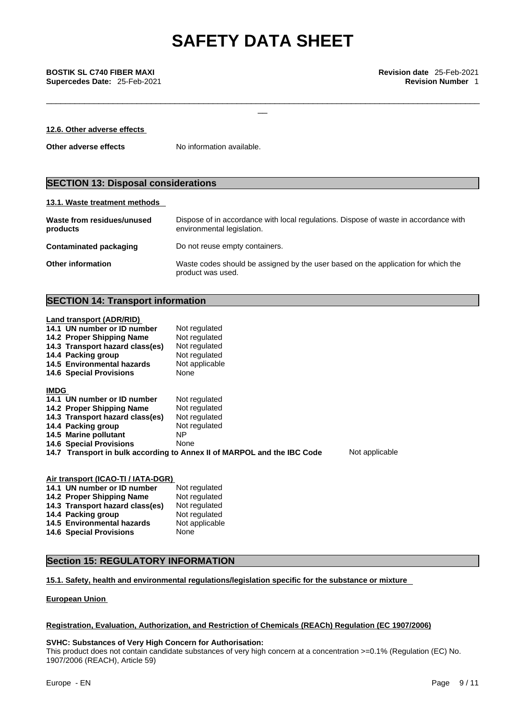\_\_\_\_\_\_\_\_\_\_\_\_\_\_\_\_\_\_\_\_\_\_\_\_\_\_\_\_\_\_\_\_\_\_\_\_\_\_\_\_\_\_\_\_\_\_\_\_\_\_\_\_\_\_\_\_\_\_\_\_\_\_\_\_\_\_\_\_\_\_\_\_\_\_\_\_\_\_\_\_\_\_\_\_\_\_\_\_\_\_\_

\_\_ **BOSTIK SL C740 FIBER MAXI Revision date** 25-Feb-2021 **Supercedes Date:** 25-Feb-2021 **Revision Number** 1

| 12.6. Other adverse effects |                           |
|-----------------------------|---------------------------|
| Other adverse effects       | No information available. |

# **SECTION 13: Disposal considerations**

## **13.1. Waste treatment methods**

| Waste from residues/unused<br>products | Dispose of in accordance with local regulations. Dispose of waste in accordance with<br>environmental legislation. |
|----------------------------------------|--------------------------------------------------------------------------------------------------------------------|
| Contaminated packaging                 | Do not reuse empty containers.                                                                                     |
| <b>Other information</b>               | Waste codes should be assigned by the user based on the application for which the<br>product was used.             |

# **SECTION 14: Transport information**

#### **Land transport (ADR/RID)**

| 14.1 UN number or ID number     | Not regulated                                                           |                |
|---------------------------------|-------------------------------------------------------------------------|----------------|
| 14.2 Proper Shipping Name       | Not regulated                                                           |                |
| 14.3 Transport hazard class(es) | Not regulated                                                           |                |
| 14.4 Packing group              | Not regulated                                                           |                |
| 14.5 Environmental hazards      | Not applicable                                                          |                |
| <b>14.6 Special Provisions</b>  | None                                                                    |                |
| <b>IMDG</b>                     |                                                                         |                |
| 14.1 UN number or ID number     | Not regulated                                                           |                |
| 14.2 Proper Shipping Name       | Not regulated                                                           |                |
| 14.3 Transport hazard class(es) | Not regulated                                                           |                |
| 14.4 Packing group              | Not regulated                                                           |                |
| 14.5 Marine pollutant           | NP.                                                                     |                |
| <b>14.6 Special Provisions</b>  | None                                                                    |                |
|                                 | 14.7 Transport in bulk according to Annex II of MARPOL and the IBC Code | Not applicable |
|                                 |                                                                         |                |

## **Air transport (ICAO-TI / IATA-DGR)**

| 14.1 UN number or ID number     | Not regulated  |
|---------------------------------|----------------|
| 14.2 Proper Shipping Name       | Not regulated  |
| 14.3 Transport hazard class(es) | Not regulated  |
| 14.4 Packing group              | Not regulated  |
| 14.5 Environmental hazards      | Not applicable |
| <b>14.6 Special Provisions</b>  | None           |

# **Section 15: REGULATORY INFORMATION**

### **15.1. Safety, health and environmental regulations/legislation specific for the substance or mixture**

**European Union** 

## **Registration, Evaluation, Authorization, and Restriction of Chemicals (REACh) Regulation (EC 1907/2006)**

### **SVHC: Substances of Very High Concern for Authorisation:**

This product does not contain candidate substances of very high concern at a concentration >=0.1% (Regulation (EC) No. 1907/2006 (REACH), Article 59)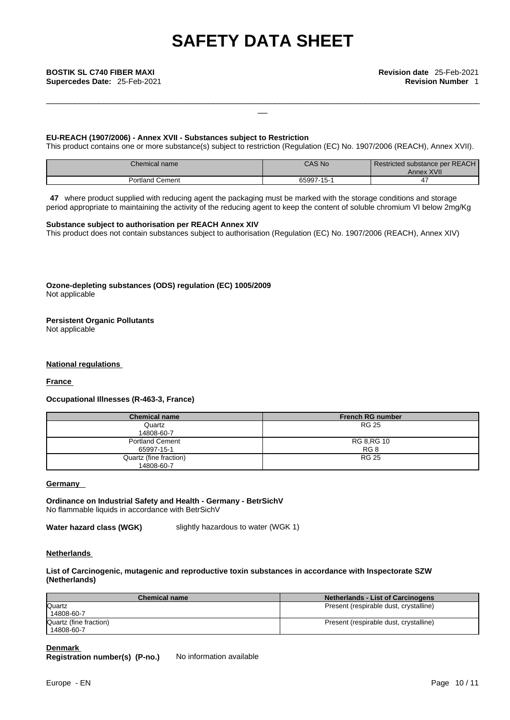\_\_\_\_\_\_\_\_\_\_\_\_\_\_\_\_\_\_\_\_\_\_\_\_\_\_\_\_\_\_\_\_\_\_\_\_\_\_\_\_\_\_\_\_\_\_\_\_\_\_\_\_\_\_\_\_\_\_\_\_\_\_\_\_\_\_\_\_\_\_\_\_\_\_\_\_\_\_\_\_\_\_\_\_\_\_\_\_\_\_\_

# **EU-REACH (1907/2006) - Annex XVII - Substances subject to Restriction**

This product contains one or more substance(s) subject to restriction (Regulation (EC) No. 1907/2006 (REACH), Annex XVII).

| Chemical name∴      | CAS No | Restricted substance per REACH<br>Annex XVII <sup>'</sup> |
|---------------------|--------|-----------------------------------------------------------|
| ิ ≏ment<br>Portland | 65997  |                                                           |

**47** where product supplied with reducing agent the packaging must be marked with the storage conditions and storage period appropriate to maintaining the activity of the reducing agent to keep the content of soluble chromium VI below 2mg/Kg

#### **Substance subject to authorisation per REACH Annex XIV**

This product does not contain substances subject to authorisation (Regulation (EC) No. 1907/2006 (REACH), Annex XIV)

**Ozone-depleting substances (ODS) regulation (EC) 1005/2009** Not applicable

**Persistent Organic Pollutants**

Not applicable

#### **National regulations**

**France** 

# **Occupational Illnesses (R-463-3, France)**

| <b>Chemical name</b>                 | <b>French RG number</b> |
|--------------------------------------|-------------------------|
| Quartz<br>14808-60-7                 | <b>RG 25</b>            |
| <b>Portland Cement</b><br>65997-15-1 | RG 8, RG 10<br>RG 8     |
| Quartz (fine fraction)<br>14808-60-7 | <b>RG 25</b>            |

#### **Germany**

**Ordinance on Industrial Safety and Health - Germany - BetrSichV** No flammable liquids in accordance with BetrSichV

**Water hazard class (WGK)** slightly hazardous to water (WGK 1)

#### **Netherlands**

### **List of Carcinogenic, mutagenic and reproductive toxin substances in accordance with Inspectorate SZW (Netherlands)**

| <b>Chemical name</b>   | <b>Netherlands - List of Carcinogens</b> |
|------------------------|------------------------------------------|
| Quartz                 | Present (respirable dust, crystalline)   |
| 14808-60-7             |                                          |
| Quartz (fine fraction) | Present (respirable dust, crystalline)   |
| 14808-60-7             |                                          |

### **Denmark**

**Registration number(s) (P-no.)** No information available